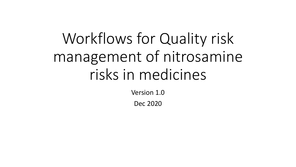# Workflows for Quality risk management of nitrosamine risks in medicines

Version 1.0

Dec 2020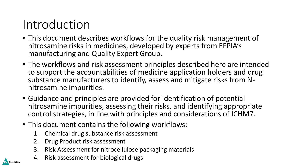# Introduction

- This document describes workflows for the quality risk management of nitrosamine risks in medicines, developed by experts from EFPIA's manufacturing and Quality Expert Group.
- The workflows and risk assessment principles described here are intended to support the accountabilities of medicine application holders and drug substance manufacturers to identify, assess and mitigate risks from Nnitrosamine impurities.
- Guidance and principles are provided for identification of potential nitrosamine impurities, assessing their risks, and identifying appropriate control strategies, in line with principles and considerations of ICHM7.
- This document contains the following workflows:
	- 1. Chemical drug substance risk assessment
	- 2. Drug Product risk assessment
	- 3. Risk Assessment for nitrocellulose packaging materials
	- 4. Risk assessment for biological drugs

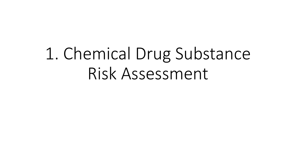# 1. Chemical Drug Substance Risk Assessment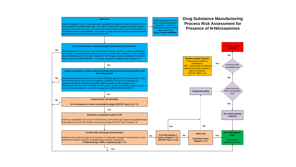#### **Start Here**

Assess all stages of the API manufacturing route after the registered starting materials for both rocess risks and contamination risks. The route of synthesis for registered starting materials may also need to be assessed, particularly where they contain amine or nitro functionalities or are introduced late in the synthesis. The number of steps that may need to be assessed will be ependant upon the control level required in the API.

**Drug Substance Manufacturing Process Risk Assessment for Presence of N-Nitrosamines**



Risks associated with API and associated impurities / degradants containing ulnerable amines are also addressed in the **Drug Product Workflow**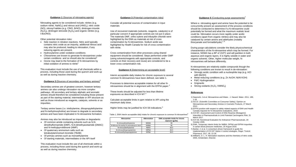#### **Guidance 1** (Sources of nitrosating agents)

Nitrosating agents to be considered include; nitrites (e.g. sodium nitrite,  $NaN<sub>2</sub>$ ) and nitrous acid ( $HNO<sub>2</sub>$ ), nitric oxide (NO), nitrosyl halides (e.g. ClNO, BrNO), dinitrogen trioxide  $(N_2O_3)$ , dinitrogen tetroxide  $(N_2O_4)$  and organic nitrites (e.g. t-BuONO).

Other potential nitrosation risks:

- Side reaction in nitration reactions. Nitric acid typically contains nitric oxide as an impurity, additional nitrous acid may also be produced, leading to nitrosation, if any reducing agents are present.
- · Hydroxylamine under oxidative conditions
- · Chloramines are known to generate N-nitrosamines under certain conditions and so should also be considered<sup>1</sup>
- · Ozone may lead to the formation of N-nitrosamines by initial oxidation of amines to nitrite<sup>1</sup>

This evaluation must include the use of all chemicals within a process, including those used during the quench and work-up as well as during reactive chemistry.

#### **Guidance 2 (**Sources of secondary and tertiary amines) 2

Secondary amines are of greatest concern, however tertiary amines can also undergo nitrosation via more complex pathways. All secondary and tertiary aliphatic and aromatic amines should therefore be considered including those present as part of the starting material, intermediate or API structure as well as those introduced as reagents, catalysts, solvents or as impurities.

Tertiary amine bases (i*.e.* triethylamine, diisopropylethylamine and N-methylmorpholine) are known to degrade to secondary amines and have been implicated in N-nitrosamine formation.

Amines may also be introduced as impurities or degradants:

- · Of common amide containing solvents such as N,N dimethylformamide (DMF), N,N-dimethyacetamide (DMAC) and N-methylpyrrolidinone (NMP)
- · Of quaternary ammonium salts such as tetrabutylammonium bromide (TBAB)
- · Of primary amines such as monoethylamine
- · Of starting materials, intermediates or the API itself

This evaluation must include the use of all chemicals within a process, including those used during the quench and work-up as well as during reactive chemistry.

#### **Guidance 3** (Potential contamination risks)

Consider all potential sources of contamination in input materials

Use of recovered materials (solvents, reagents, catalysts) is of particular concern if appropriate controls are not put in place. The materials DMF, ortho-xylene and tributyltin chloride were highlighted by the EMA as materials at risk of cross contamination by N-nitrosamines. Sodium azide was highlighted by Health Canada for risk of cross contamination with nitrite.

Cross contamination from other processes using shared equipment should be considered. Steps performed under GMP (using solvents/reagents with appropriate controls, and controls on their recovery and reuse) are considered to be a lower cross contamination risk.

#### **Guidance 4** (Determining an acceptable level)

Interim acceptable daily intakes for chronic exposure to several common N-nitrosamines have been defined, see table 1.

Processes to determine acceptable intakes for all other N nitrosamines should be in alignment with the EFPIA paper.<sup>3</sup>

These levels should be adjusted for less than lifetime exposures as described in ICH M7. 4

Calculate acceptable limits in ppm relative to API using the maximum daily dose.

Higher limits may be justified for ICH S9 indications.<sup>5</sup>

Table 1, EMA interim acceptable daily intake for chronic exposure to common N-nitrosamines<sup>6</sup>

| <b>Nitrosamine</b>                     | Abbreviation | <b>EMA acceptable intake for chronic</b><br>exposure ng/day |
|----------------------------------------|--------------|-------------------------------------------------------------|
| N-nitrosodimethylamine                 | <b>NDMA</b>  | 96                                                          |
| N-Nitroso-N-methyl-4-aminobutyric Acid | <b>NMBA</b>  | 96                                                          |
| N-nitrosodiethylamine                  | <b>NDFA</b>  | 26.5                                                        |
| N-nitrosodiisopropylamine              | <b>DIPNA</b> | 26.5                                                        |
| N-nitrosoethylisopropylamine           | <b>FIPNA</b> | 26.5                                                        |

#### **Guidance 5** (Conducting purge assessments) 7

Where a nitrosating agent and amine have the potential to be concurrently present an assessment of the process conditions should be conducted to determine if a N-nitrosamine could potentially be formed and what the maximum realistic level could be. Nitrosation occurs more rapidly under acidic conditions (apart from organic nitrites) and may also be catalysed by certain anions and aldehydes (notably thiocyanate and formaldehyde).<sup>2, 8</sup>

During purge calculations consider the likely physicochemical characteristics of the N-nitrosamine which may be formed. For instance, NDMA has a BP of 153°C and will partition in both aqueous and organic layers. It is highly soluble in water and organic solvents. Other, higher molecular weight, N nitrosamines will behave differently.

N-nitrosamines are relatively stable compounds though the following conditions are known to result in de-nitrosation:

- · Strongly acidic condition with a nucleophile trap (e.g. HCl with MeOH)
- · Metal reducing conditions (e.g. Zn AcOH; Ni/Al KOH)
- Pd/C Hydrogenation
- · Grignards
- Strong oxidants  $(H_2O_2; KMD_4)$

#### **References**

1) Nawrocki, J et al. Nitrosamines and Water, J. Hazard. Mater. 2011, 189, 1-18.

- 2) SCCS (Scientific Committee on Consumer Safety), Opinion on Nitrosamines and Secondary Amines in Cosmetic Products, 27 March 2012.
- 3) EFPIA position with respect to safety related aspects of EMA and Health Canada requests for N-nitrosamine evaluations, 2019.
- 4) ICH M7, Assessment and Control of DNA Reactive (Mutagenic) Impurities in Pharmaceuticals to Limit Potential Carcinogenic Risk, 31 March 2017.
- 5) ICH S9, Nonclinical Evaluation for Anticancer Pharmaceuticals, 29 October 2009.
- 6) EMA, Temporary interim limits for NMBA, DIPNA and EIPNA impurities in sartan blood pressure medicines, 20 August 2019.
- 7) Barber, C et al. A consortium-driven framework to guide the implementation of ICH M7 Option 4 control strategies. Regul. Toxicol.
- Pharmacol. 2017, 90, 22-28.
- 8) Williams, D. L. H. Nitrosation reactions and the chemistry of nitric oxide. 2004, Amsterdam, Elsevier.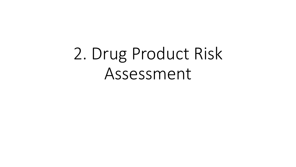# 2. Drug Product Risk Assessment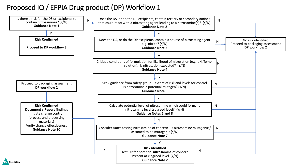## Proposed IQ / EFPIA Drug product (DP) Workflow 1

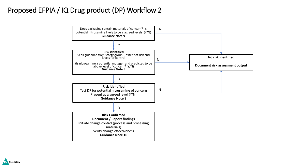## Proposed EFPIA / IQ Drug product (DP) Workflow 2



Proprietary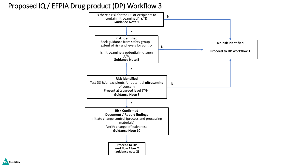## Proposed IQ / EFPIA Drug product (DP) Workflow 3



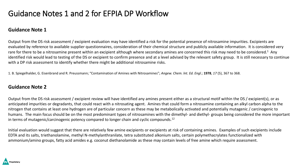# Guidance Notes 1 and 2 for EFPIA DP Workflow

### **Guidance Note 1**

Output from the DS risk assessment / excipient evaluation may have identified a risk for the potential presence of nitrosamine impurities. Excipients are evaluated by reference to available supplier questionnaires, consideration of their chemical structure and publicly available information. It is considered very rare for there to be a nitrosamine present within an excipient although where secondary amines are concerned this risk may need to be considered.<sup>1</sup> Any identified risk would lead to testing of the DS or excipient to confirm presence and at a level advised by the relevant safety group. It is still necessary to continue with a DP risk assessment to identify whether there might be additional nitrosamine risks.

1. B. Spiegelhalder, G. Eisenbrand and R. Preussmann; "Contamination of Amines with Nitrosamines"; *Angew. Chem. lnt. Ed. Engl*.; **1978**, *17* (5), 367 to 368.

#### **Guidance Note 2**

Output from the DS risk assessment / excipient review will have identified any amines present either as a structural motif within the DS / excipient(s), or as anticipated impurities or degradants, that could react with a nitrosating agent. Amines that could form a nitrosamine containing an alkyl carbon alpha to the nitrogen that contains at least one hydrogen are of particular concern as these may be metabolically activated and potentially mutagenic / carcinogenic to humans. The main focus should be on the most predominant types of nitrosamines with the dimethyl- and diethyl- groups being considered the more important in terms of mutagenic/carcinogenic potency compared to longer chain and cyclic compounds.<sup>12</sup>

Initial evaluation would suggest that there are relatively few amine excipients or excipients at risk of containing amines. Examples of such excipients include EDTA and its salts, triethanolamine, methyl N-methylanthranilate, tetra substituted alkonium salts, certain polymethacrylates functionalized with ammonium/amino groups, fatty acid amides e.g. coconut diethanolamide as these may contain levels of free amine which require assessment.

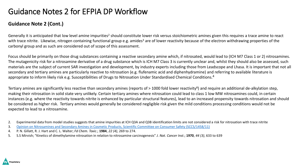# Guidance Notes 2 for EFPIA DP Workflow

### **Guidance Note 2 (Cont.)**

Generally it is anticipated that low level amine impurities<sup>2</sup> should constitute lower risk versus stoichiometric amines given this requires a trace amine to react with trace nitrite. Likewise, nitrogen containing functional group e.g. amides<sup>3</sup> are of lower reactivity because of the electron withdrawing properties of the carbonyl group and as such are considered out of scope of this assessment.

Focus should be primarily on those drug substances containing a reactive secondary amine which, if nitrosated, would lead to (ICH M7 Class 1 or 2) nitrosamines. The mutagenicity risk for a nitrosamine derivative of a drug substance which is ICH M7 Class 3 is currently unclear and, whilst they should also be assessed, such materials are the subject of current SAR investigation and development, by industry experts including those from Leadscope and Lhasa. It is important that not all secondary and tertiary amines are particularly reactive to nitrosation (e.g. flufenamic acid and diphenhydramine) and referring to available literature is appropriate to inform likely risk e.g. Susceptibilities of Drugs to Nitrosation Under Standardised Chemical Conditions.<sup>4</sup>

Tertiary amines are significantly less reactive than secondary amines (reports of > 1000 fold lower reactivity<sup>8</sup>) and require an additional de-alkylation step, making their nitrosation in solid state very unlikely. Certain tertiary amines where nitrosation could lead to class 1 low MW nitrosamines could, in certain instances (e.g. where the reactivity towards nitrite is enhanced by particular structural features), lead to an increased propensity towards nitrosation and should be considered as higher risk. Tertiary amines would generally be considered negligible risk given the mild conditions processing conditions would not be expected to lead to a nitrosamine.

2. Experimental data from model studies suggests that amine impurities at ICH Q3A and Q3B identification limits are not considered a risk for nitrosation with trace nitrite

- 3. [Opinion on Nitrosamines and Secondary Amines in Cosmetic Products, Scientific Committee on Consumer Safety \(SCCS/1458/11\)](https://ec.europa.eu/health/sites/health/files/scientific_committees/consumer_safety/docs/sccs_o_090.pdf)
- 4. P. N. Gillatt, R. J. Hart and C. L. Walter; *Fd Chem. Toxic*.; **1984**, *22 (4)*, 269 to 274.
- 5. S.S Mirvish; "Kinetics of dimethylamine nitrosation in relation to nitrosamine carcinogenesis" *J. Nat. Cancer Inst*.; **1970**, *44 (3)*, 633 to 639

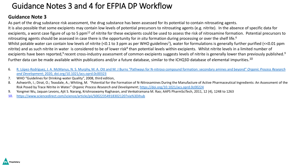# Guidance Notes 3 and 4 for EFPIA DP Workflow

### **Guidance Note 3**

As part of the drug substance risk assessment, the drug substance has been assessed for its potential to contain nitrosating agents. It is also possible that some excipients may contain low levels of potential precursors to nitrosating agents (e.g. nitrite). In the absence of specific data for excipients, a worst case figure of up to 5 ppm<sup>12</sup> of nitrite for these excipients could be used to assess the risk of nitrosamine formation. Potential precursors to nitrosating agents should be assessed in case there is the opportunity for *in situ* formation during processing or over the shelf life.<sup>6</sup> Whilst potable water can contain low levels of nitrite (<0.1 to 3 ppm as per WHO guidelines<sup>7</sup>), water for formulations is generally further purified (<<0.01 ppm nitrite) and as such nitrite in water is considered to be of lower risk<sup>8</sup> than potential levels within excipients. Whilst nitrite levels in a limited number of excipients have been reported,<sup>9</sup> recent cross-industry assessment of common excipients suggests levels of nitrite is generally lower than previously published.<sup>9</sup> Further data can be made available within publications and/or a future database, similar to the ICHQ3D database of elemental impurities.<sup>10</sup>

- 6. R. López-[Rodríguez, J. A. McManus, N. S. Murphy, M. A. Ott and M. J Burns "Pathways for N](https://pubs.acs.org/doi/pdf/10.1021/acs.oprd.0c00323)-nitroso compound formation: secondary amines and beyond" *Organic Process Research and Development*; 2020, doi.org/10.1021/acs.oprd.0c00323
- 7. WHO "Guidelines for Drinking-water Quality", 2008, third edition,
- 8. Ashworth, I.; Dirat, O.; Teasdale, A.; Whiting, M. "Potential for the Formation of N-Nitrosamines During the Manufacture of Active Pharmaceutical Ingredients: An Assessment of the Risk Posed by Trace Nitrite in Water." *Organic Process Research and Development*;<https://doi.org/10.1021/acs.oprd.0c00224>
- 9. Yongmei Wu, Jaquan Levons, Ajit S. Narang, Krishnaswamy Raghavan, and Venkatramana M. Rao; AAPS PharmSciTech, 2011, 12 (4), 1248 to 1263
- 10. [https://www.sciencedirect.com/science/article/pii/S0022354918302120?via%3Dihub](https://urldefense.com/v3/__https:/www.sciencedirect.com/science/article/pii/S0022354918302120?via*3Dihub__;JQ!!AoaiBx6H!nsMRMRVu8ZYpFJSEu_yeALijrvQekbhfpOSzRWv1jcLNhIeZ-oLu-CgucoLSJ7eri76PKw$)

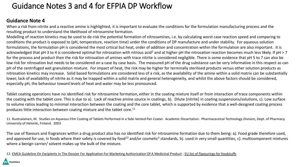# Guidance Notes 3 and 4 for EFPIA DP Workflow

### **Guidance Note 4**

When a risk from nitrite and a reactive amine is highlighted, it is important to evaluate the conditions for the formulation manufacturing process and the resulting product to understand the likelihood of nitrosamine formation.

Modelling of reaction kinetics may be used to de-risk the potential formation of nitrosamines, i.e. by calculating worst case reaction speed and comparing to conditions the product is exposed to (pH, temperature, reaction time) under the conditions of DP manufacture and under stability. For aqueous solution formulations, the formulation pH is considered the most critical but heat, order of addition and concentration within the formulation are also important. It is acknowledged that pH 3 to 4 is considered optimal for nitrosation with nitrous acid<sup>5</sup> and at higher pH the nitrosation reaction becomes much less likely. If pH > 7 for the process and product then the risk for nitrosation of amines with trace nitrite is considered negligible. There is some evidence that pH 5 to 7 can also be low risk for nitrosation but needs to be considered on a case by case basis. The measured pH of the drug substance can be very informative in this respect as can pH of the centrifuged wet granulation mixture. For impact of heat, the risk may be higher for terminally sterilised products versus other solution products as nitrosation kinetics may increase. Solid based formulations are considered less of a risk, as the availability of the amine within a solid matrix can be substantially lower, lack of availability of nitrite as it may be trapped within a solid matrix and general heterogeneity, and whilst the above factors should be considered, especially pH, the behaviour toward levels of heat and water may be less pronounced.

Tablet coating operations have no identified risk for nitrosamine formation, either in the coating mixture itself or from interaction of trace components within the coating with the tablet core. This is due to a). Lack of reactive amine source in coatings, b). Dilute [nitrite] in coating suspensions/solutions, c). Low surface to volume ratios leading to minimal interaction between the coating and the core tablet, which is supported by evidence that a well-designed coating process produces little interaction between coating mixture and the tablet core.<sup>11</sup>

11. Ruotsalainen, M. Studies on Aqueous Film Coating of Tablets Performed in a Side-Vented Pan Coater. Academic Dissertation. Pharmaceutical Technology Division, Dept. of Pharmacy. University of Helsinki, Finland. 2003

The use of flavours and fragrances within a drug product also has no identified risk for nitrosamine formation due to them being: a). Food grade therefore used, and approved for use, in foods where their safety is covered by food<sup>12</sup> and/or cosmetic<sup>3</sup> standards, b). used in very small quantities, c). multicomponent mixtures where a benign carrier/ solvent makes up the bulk of the mixture.

12. [EMEA Guideline On Excipients In The Dossier For Application For Marketing Authorisation Of A Medicinal Product](https://www.ema.europa.eu/en/documents/scientific-guideline/guideline-excipients-dossier-application-marketing-authorisation-medicinal-product-revision-2_en.pdf) ; [EU list of flavourings for foodstuffs](https://ec.europa.eu/food/safety/food_improvement_agents/flavourings/eu_lists_flavourings_en)

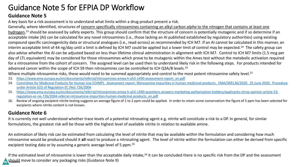# Guidance Note 5 for EFPIA DP Workflow

### **Guidance Note 5**

A key basis for a risk assessment is to understand what limits within a drug product present a risk.

Generally, where Identified, structures of concern specifically nitrosamines containing an alkyl carbon *alpha* to the nitrogen that contains at least one hydrogen,<sup>13</sup> should be assessed by safety experts. This group should confirm that the structure of concern is potentially mutagenic and if so determine if an acceptable intake (AI) can be calculated for any novel nitrosamines (i.e., those lacking an AI published established by regulatory authorities) using existing compound specific carcinogenicity data or structural analogues (i.e., read-across) as recommended by ICH M7. If an AI cannot be calculated in this manner, an interim acceptable limit of 44 ng/day until a limit is defined by ICH M7 could be applied but a lower limit of control may be expected.<sup>14</sup> The safety group can also advise whether the AI can be adjusted based on less than lifetime clinical administration in alignment with ICH M7. Control to ICH M7 limits (1.5 mcg per day of LTL equivalent) may be considered for those nitrosamines which prove to be mutagenic within the Ames test without the metabolic activation required for a nitrosamine from the cohort of concern. The assigned level can be used then to understand likely risk in the following steps. For products intended for advanced cancer within the scope of ICH S9 then nitrosamines can be controlled to ICH Q3A/B levels.<sup>14</sup>

Where multiple nitrosamine risks, these would need to be summed appropriately and control to the most potent nitrosamine safety level.<sup>15</sup>

- 13. [https://www.ema.europa.eu/en/documents/referral/nitrosamines-emea-h-a53-1490-assessment-report\\_en.pdf](https://www.ema.europa.eu/en/documents/referral/nitrosamines-emea-h-a53-1490-assessment-report_en.pdf)
- 14. [Committee for Medicinal Products for Human Use \(CHMP\). Assessment report: Nitrosamine impurities in human medicinal products. EMA/369136/2020. 25 June 2020. Procedure](https://www.ema.europa.eu/en/documents/referral/nitrosamines-emea-h-a53-1490-assessment-report_en.pdf) under Article 5(3) of Regulation EC (No) 726/2004
- 15. [https://www.ema.europa.eu/en/documents/referral/nitrosamines-emea-h-a53-1490-questions-answers-marketing-authorisation-holders/applicants-chmp-opinion-article-53](https://www.ema.europa.eu/en/documents/referral/nitrosamines-emea-h-a53-1490-questions-answers-marketing-authorisation-holders/applicants-chmp-opinion-article-53-regulation-ec-no-726/2004-referral-nitrosamine-impurities-human-medicinal-products_en.pdf) regulation-ec-no-726/2004-referral-nitrosamine-impurities-human-medicinal-products\_en.pdf
- 16. Review of ongoing excipient nitrite testing suggests an average figure of 1 to 2 ppm could be applied. In order to retain some conservatism the figure of 5 ppm has been selected for excipients where nitrite content is not known.

### **Guidance Note 6**

It is currently not well understood whether trace levels of a potential nitrosating agent e.g. nitrite will constitute a risk to a DP. In general, for similar formulations, the greatest risk will be those with the highest level of available nitrite in relation to available amine.

An estimation of likely risk can be estimated from calculating the level of nitrite that may be available within the formulation and considering how much nitrosamine would be produced should it **all** react to produce a nitrosating agent. The level of nitrite within the formulation can either be derived from specific excipient testing data or by assuming a generic average level of 5 ppm.<sup>16</sup>

If the estimated level of nitrosamine is lower than the acceptable daily intake, $16$  it can be concluded there is no specific risk from the DP and the assessment should move to consider any packaging risks (Guidance Note 9)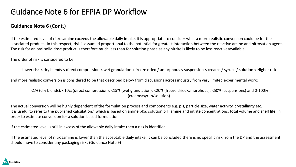# Guidance Note 6 for EFPIA DP Workflow

### **Guidance Note 6 (Cont.)**

If the estimated level of nitrosamine exceeds the allowable daily intake, it is appropriate to consider what a more realistic conversion could be for the associated product. In this respect, risk is assumed proportional to the potential for greatest interaction between the reactive amine and nitrosation agent. The risk for an oral solid dose product is therefore much less than for solution phase as any nitrite is likely to be less reactive/available.

The order of risk is considered to be:

Lower risk < dry blends < direct compression < wet granulation < freeze dried / amorphous < suspension < creams / syrups / solution < Higher risk

and more realistic conversion is considered to be that described below from discussions across industry from very limited experimental work:

<1% (dry blends), <10% (direct compression), <15% (wet granulation), <20% (freeze dried/amorphous), <50% (suspensions) and 0-100% (creams/syrup/solution)

The actual conversion will be highly dependent of the formulation process and components e.g. pH, particle size, water activity, crystallinity etc. It is useful to refer to the published calculation,<sup>8</sup> which is based on amine pKa, solution pH, amine and nitrite concentrations, total volume and shelf life, in order to estimate conversion for a solution based formulation.

If the estimated level is still in excess of the allowable daily intake then a risk is identified.

If the estimated level of nitrosamine is lower than the acceptable daily intake, it can be concluded there is no specific risk from the DP and the assessment should move to consider any packaging risks (Guidance Note 9)

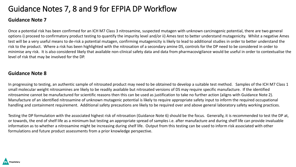# Guidance Notes 7, 8 and 9 for EFPIA DP Workflow

### **Guidance Note 7**

Once a potential risk has been confirmed for an ICH M7 Class 3 nitrosamine, suspected mutagen with unknown carcinogenic potential, there are two general options i) proceed to confirmatory product testing to quantify the impurity level and/or ii) Ames test to better understand mutagenicity. Whilst a negative Ames test will be a very useful means to de-risk a potential mutagen, confirming mutagenicity is likely to lead to additional studies in order to better understand the risk to the product. Where a risk has been highlighted with the nitrosation of a secondary amine DS, controls for the DP need to be considered in order to minimise any risk. It is also considered likely that available non-clinical safety data and data from pharmacovigilance would be useful in order to contextualise the level of risk that may be involved for the DP.

#### **Guidance Note 8**

In progressing to testing, an authentic sample of nitrosated product may need to be obtained to develop a suitable test method. Samples of the ICH M7 Class 1 small molecular weight nitrosamines are likely to be readily available but nitrosated versions of DS may require specific manufacture. If the identified nitrosamine cannot be manufactured for scientific reasons then this can be used as justification to take no further action (aligns with Guidance Note 2). Manufacture of an identified nitrosamine of unknown mutagenic potential is likely to require appropriate safety input to inform the required occupational handling and containment requirement. Additional safety precautions are likely to be required over and above general laboratory safety working practices.

Testing the DP formulation with the associated highest risk of nitrosation (Guidance Note 6) should be the focus. Generally, it is recommended to test the DP at, or towards, the end of shelf life as a minimum but testing an appropriate spread of samples i.e. after manufacture and during shelf life can provide invaluable information as to whether a nitrosamine might be increasing during shelf life. Output from this testing can be used to inform risk associated with other formulations and future product assessments from a prior knowledge perspective.

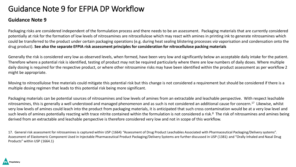## Guidance Note 9 for EFPIA DP Workflow

#### **Guidance Note 9**

Packaging risks are considered independent of the formulation process and there needs to be an assessment. Packaging materials that are currently considered potentially at risk for the formation of low levels of nitrosamines are nitrocellulose which may react with amines in printing ink to generate nitrosamines which could be transferred to the product under certain packaging operations (e.g. during heat sealing blistering processes *via* vaporisation and condensation onto the drug product). **See also the separate EFPIA risk assessment principles for consideration for nitrocellulose packing materials**

Generally the risk is considered very low as observed levels, when formed, have been very low and significantly below an acceptable daily intake for the patient. Therefore where a potential risk is identified, testing of product may not be required particularly where there are low numbers of daily doses. Where multiple daily dosing is required for the respective product, or where other nitrosamine risks may have been identified within the product assessment as per workflow 2 might be appropriate.

Moving to nitrocellulose free materials could mitigate this potential risk but this change is not considered a requirement but should be considered if there is a multiple dosing regimen that leads to this potential risk being more significant.

Packaging materials can be potential sources of nitrosamines and low levels of amines from an extractable and leachable perspective. With respect leachable nitrosamines, this is generally a well understood and managed phenomenon and as such is not considered an additional cause for concern.<sup>17</sup> Likewise, whilst very low levels of amines could leach into the product from packaging materials, it is anticipated that such cross contamination would be at a very low level and such levels of amines potentially reacting with trace nitrite contained within the formulation is not considered a risk.<sup>8</sup> The risk of nitrosamines and amines being derived from an extractable and leachable perspective is therefore considered very low and not in scope of this workflow.

17. General risk assessment for nitrosamines is captured within USP 〈1664〉 "Assessment of Drug Product Leachables Associated with Pharmaceutical Packaging/Delivery systems". Assessment of Elastomeric Component Used in Injectable Pharmaceutical Product Packaging/Delivery Systems are further discussed in USP 〈1381〉 and "Orally Inhaled and Nasal Drug Products" within USP 〈1664.1〉

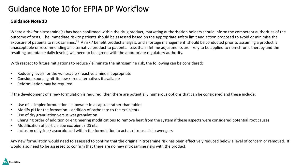# Guidance Note 10 for EFPIA DP Workflow

#### **Guidance Note 10**

Where a risk for nitrosamine(s) has been confirmed within the drug product, marketing authorisation holders should inform the competent authorities of the outcome of tests. The immediate risk to patients should be assessed based on the appropriate safety limit and action proposed to avoid or minimise the exposure of patients to nitrosamines.<sup>12</sup> A risk / benefit product analysis, and shortage management, should be conducted prior to assuming a product is unacceptable or recommending an alternative product to patients. Less than lifetime adjustments are likely to be applied to non-chronic therapy and the resulting acceptable daily level(s) will need to be agreed with the appropriate regulatory authority.

With respect to future mitigations to reduce / eliminate the nitrosamine risk, the following can be considered:

- Reducing levels for the vulnerable / reactive amine if appropriate
- Consider sourcing nitrite low / free alternatives if available
- Reformulation may be required

If the development of a new formulation is required, then there are potentially numerous options that can be considered and these include:

- Use of a simpler formulation i.e. powder in a capsule rather than tablet
- Modify pH for the formation addition of carbonate to the excipients
- Use of dry granulation versus wet granulation
- Changing order of addition or engineering modifications to remove heat from the system if these aspects were considered potential root causes
- Modification of particle size excipient / DS etc.
- Inclusion of lysine / ascorbic acid within the formulation to act as nitrous acid scavengers

Any new formulation would need to assessed to confirm that the original nitrosamine risk has been effectively reduced below a level of concern or removed. It would also need to be assessed to confirm that there are no new nitrosamine risks with the product.

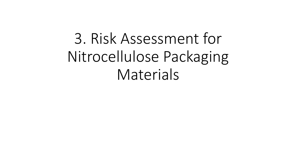# 3. Risk Assessment for Nitrocellulose Packaging Materials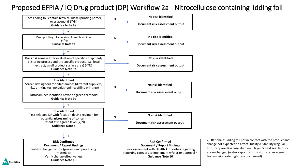## Proposed EFPIA / IQ Drug product (DP) Workflow 2a - Nitrocellulose containing lidding foil



x): Rationale: lidding foil not in contact with the product and change not expected to affect Quality & Stability (regular FUST proposed) in case aluminum layer & heat seal lacquor are unchanged (water vapor transmission rate, oxygene transmission rate; tightness unchanged)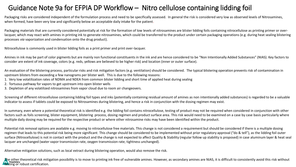## Guidance Note 9a for EFPIA DP Workflow – Nitro cellulose containing lidding foil

Packaging risks are considered independent of the formulation process and need to be specifically assessed. In general the risk is considered very low as observed levels of Nitrosamines, when formed, have been very low and significantly below an acceptable daily intake for the patient.

Packaging materials that are currently considered potentially at risk for the formation of low levels of nitrosamines are blister lidding foils containing nitrocellulose as printing primer or overlacquer, which may react with amines in printing ink to generate nitrosamines, which could be transferred to the product under certain packaging operations (e.g. during heat sealing blistering processes *via* vaporization and condensation onto the drug product).

Nitrocellulose is commonly used in blister lidding foils as a print primer and print over-lacquer.

Amines in ink may be part of color pigments but are mainly non functional constituents in the ink and are hence considered to be "Non Intentionally Added Substances" (NIAS). Key factors to consider are extent of ink coverage, colors (e.g. reds, yellows are believed to be higher risk) and location (inner or outer surface).

An evaluation of the blistering process, particular risks and risk mitigation factors (e.g. ventilation) should be considered. The typical blistering operation prevents risk of contamination in upstream blisters from exceeding a few nanograms per blister well. This is due to the following reasons:

- 1. Very low volatilization rates of NDMA and NDEA from common blister lidding and short time of applied heat during sealing
- 2. Tortuous pathway for vapors to get upstream into open blister wells
- 3. Depletion of any volatilized nitrosamines from vapor cloud due to room air changeovers.

Screening of different nitrocellulose containing lidding foil types and inks (potentially containing residual amount of amines as non intentionally added substances) is regarded to be a valuable indicator to assess if tablets could be exposed to Nitrosamines during blistering, and hence a risk in conjunction with the dosing regimen may exist.

In summary, even where a potential theoretical risk is identified e.g. the lidding foil contains nitrocellulose, testing of product may not be required when considered in conjunction with other factors such as foils screening, blister equipment, blistering process, dosing regimen and product surface area. This risk would need to be examined on a case by case basis particularly where multiple daily dosing may be required for the respective product or where other nitrosamine risks may have been identified within the product.

Potential risk removal options are available e.g. moving to nitrocellulose free materials. This change is not considered a requirement but should be considered if there is a multiple dosing regimen that leads to this potential risk being more significant. This change should be considered to be implemented without prior regulatory approval ("do & tell"), as the lidding foil outer surface (Nitrocellulose) is not in contact with the product and the change is not expected to affect Quality & Stability (regular follow up stability is proposed) in case aluminum layer & heat seal lacquer are unchanged (water vapor transmission rate, oxygen transmission rate; tightness unchanged).

Alternative mitigation solutions, such as local extract during blistering operation, would also remove the risk.

The other theoretical risk mitigation possibility is to move to printing ink free of vulnerable amines. However, as secondary amines are NIAS, it is difficult to consistently avoid this risk without proprietary **the Proprietary**<br>**testing or robust certification.**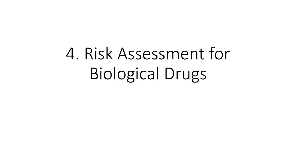# 4. Risk Assessment for Biological Drugs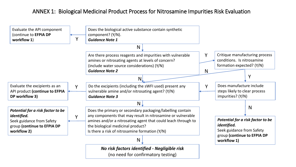## ANNEX 1: Biological Medicinal Product Process for Nitrosamine Impurities Risk Evaluation